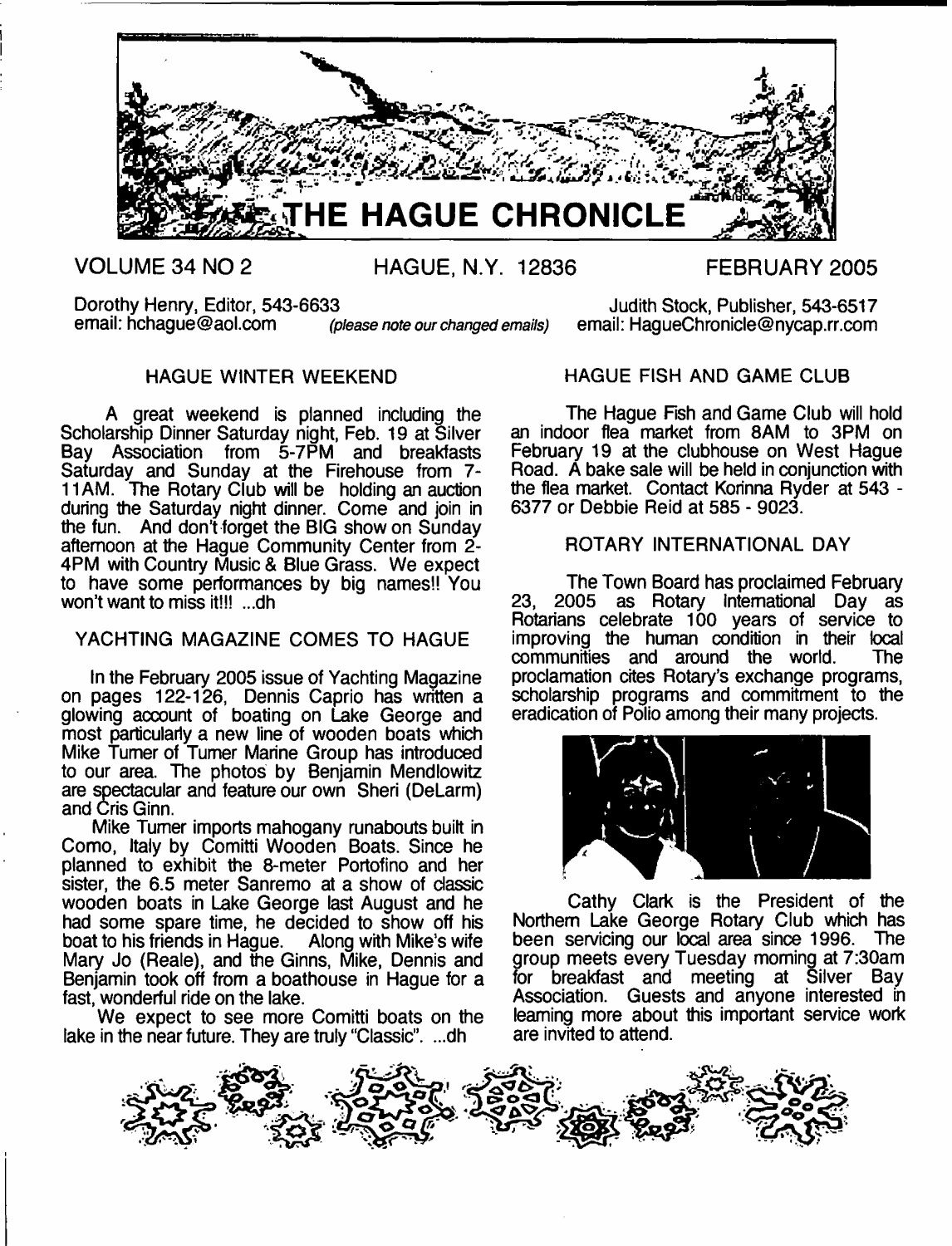

**VOLUME 34 NO 2 HAGUE, N.Y. 12836 FEBRUARY 2005**

Dorothy Henry, Editor, 543-6633<br>
email: hchaque@aol.com *(please note our changed emails)* email: HaqueChronicle@nycap.rr.com

email: HaqueChronicle@nycap.rr.com

# HAGUE WINTER WEEKEND

A great weekend is planned including the Scholarship Dinner Saturday night, Feb. 19 at Silver Bay Association from 5-7PM and breakfasts Saturday and Sunday at the Firehouse from 7- 11 AM. The Rotary Club will be holding an auction during the Saturday night dinner. Come and join in the fun. And don't forget the BIG show on Sunday afternoon at the Hague Community Center from 2- 4PM with Country Music & Blue Grass. We expect to have some performances by big names!! You won't want to miss it!!! ...dh

## YACHTING MAGAZINE COMES TO HAGUE

In the February 2005 issue of Yachting Magazine on pages 122-126, Dennis Caprio has written a glowing account of boating on Lake George and most particularly a new line of wooden boats which Mike Turner of Turner Marine Group has introduced to our area. The photos by Benjamin Mendlowitz are spectacular and feature our own Sheri (DeLarm) and Cris Ginn.

Mike Turner imports mahogany runabouts built in Como, Italy by Comitti Wooden Boats. Since he planned to exhibit the 8-meter Portofino and her sister, the 6.5 meter Sanremo at a show of classic wooden boats in Lake George last August and he had some spare time, he decided to show off his<br>boat to his friends in Hague. Along with Mike's wife boat to his friends in Hague. Mary Jo (Reale), and the Ginns, Mike, Dennis and Benjamin took off from a boathouse in Hague for a fast, wonderful ride on the lake.

We expect to see more Comitti boats on the lake in the near future. They are truly "Classic". ...dh

HAGUE FISH AND GAME CLUB

The Hague Fish and Game Club will hold an indoor flea market from 8AM to 3PM on February 19 at the clubhouse on West Hague Road. A bake sale will be held in conjunction with the flea market. Contact Korinna Ryder at 543 - 6377 or Debbie Reid at 585 - 9023.

## ROTARY INTERNATIONAL DAY

The Town Board has proclaimed February 23, 2005 as Rotary International Day as Rotarians celebrate 100 years of service to improving the human condition in their local<br>communities and around the world. The communities and around the world. proclamation cites Rotary's exchange programs, scholarship programs and commitment to the eradication of Polio among their many projects.



Cathy Clark is the President of the Northern Lake George Rotary Club which has been servicing our local area since 1996. The group meets every Tuesday morning at 7:30am for breakfast and meeting at Silver Bay Association. Guests and anyone interested in learning more about this important service work are invited to attend.

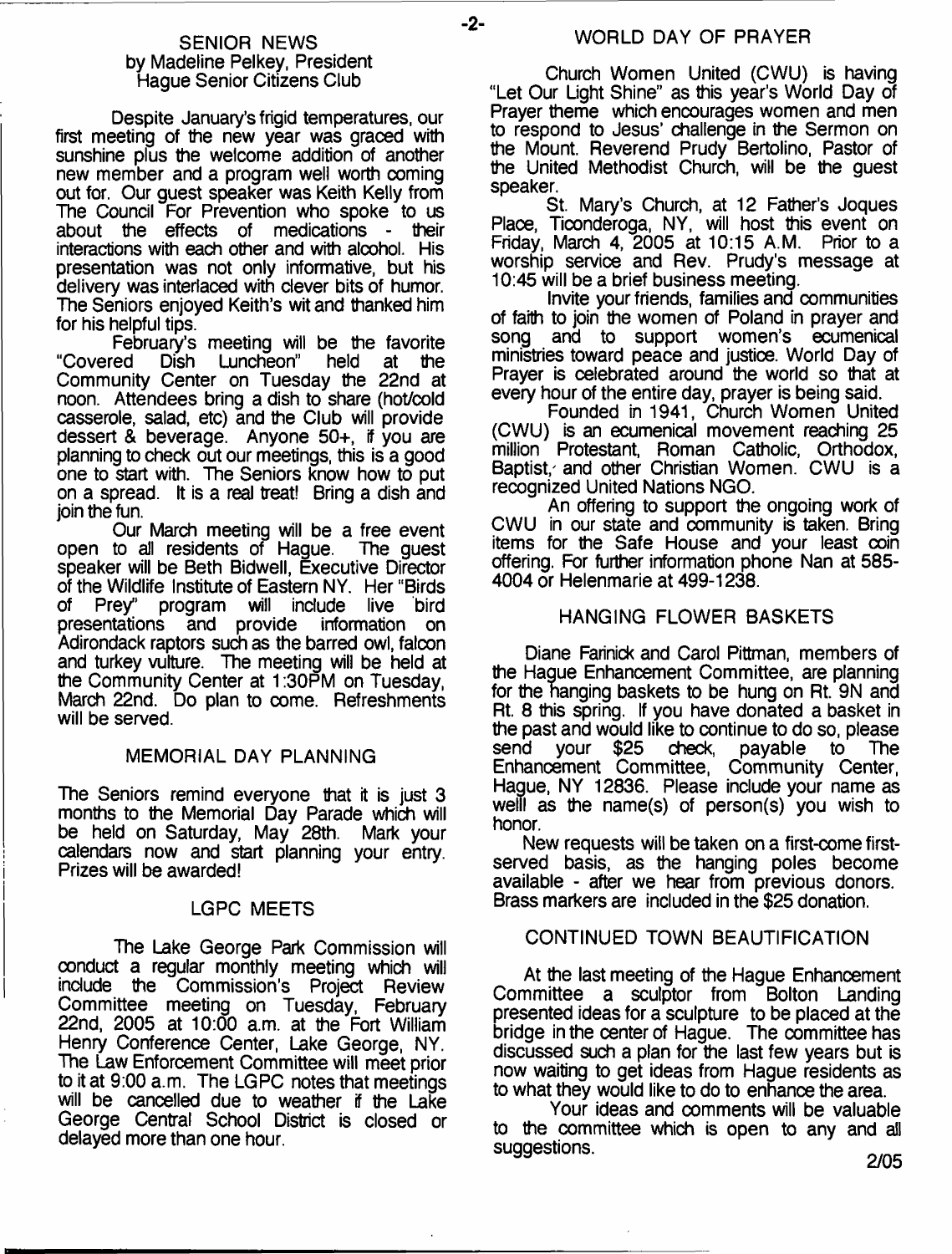#### SENIOR NEWS by Madeline Pelkey, President Hague Senior Citizens Club

Despite January's frigid temperatures, our first meeting of the new year was graced with sunshine plus the welcome addition of another new member and a program well worth coming out for. Our guest speaker was Keith Kelly from The Council For Prevention who spoke to us about the effects of medications - their interactions with each other and with alcohol. His presentation was not only informative, but his delivery was interlaced with clever bits of humor. The Seniors enjoyed Keith's wit and thanked him for his helpful tips.

February's meeting will be the favorite<br>Covered Dish Luncheon" held at the Dish Luncheon" Community Center on Tuesday the 22nd at noon. Attendees bring a dish to share (hot/cold casserole, salad, etc) and the Club will provide dessert & beverage. Anyone 50+, if you are planning to check out our meetings, this is a good one to start with. The Seniors know how to put on a spread. It is a real treat! Bring a dish and join the fun.

Our March meeting will be a free event<br>to all residents of Haque. The quest open to all residents of Haque. speaker will be Beth Bidwell, Executive Director of the Wildlife Institute of Eastern NY. Her "Birds of Prey" program will include live bird<br>presentations and provide information on and provide Adirondack raptors such as the barred owl, falcon and turkey vulture. The meeting will be held at the Community Center at 1:30PM on Tuesday, March 22nd. Do plan to come. Refreshments will be served.

#### MEMORIAL DAY PLANNING

The Seniors remind everyone that it is just 3 months to the Memorial Day Parade which will<br>be held on Saturday, May 28th. Mark your be held on Saturday, May 28th. calendars now and start planning your entry. Prizes will be awarded!

#### LGPC MEETS

The Lake George Park Commission will conduct a regular monthly meeting which will include the Commission's Project Review Committee meeting on Tuesday, February 22nd, 2005 at 10:00 a.m. at the Fort William Henry Conference Center, Lake George, NY. The Law Enforcement Committee will meet prior to it at 9:00 a.m. The LGPC notes that meetings will be cancelled due to weather if the Lake George Central School District is closed or delayed more than one hour.

Church Women United (CWU) is having "Let Our Light Shine" as this year's World Day of Prayer theme which encourages women and men to respond to Jesus' challenge in the Sermon on the Mount. Reverend Prudy Bertolino, Pastor of the United Methodist Church, will be the guest speaker.

St. Mary's Church, at 12 Father's Joques Place, Ticonderoga, NY, will host this event on Friday, March 4, 2005 at 10:15 A.M. Prior to a worship service and Rev. Prudy's message at 10:45 will be a brief business meeting.

Invite your friends, families and communities of faith to join the women of Poland in prayer and<br>song and to support women's ecumenical and to support women's ecumenical ministries toward peace and justice. World Day of Prayer is celebrated around the world so that at every hour of the entire day, prayer is being said.

Founded in 1941, Church Women United (CWU) is an ecumenical movement reaching 25 million Protestant, Roman Catholic, Orthodox, Baptist, and other Christian Women. CWU is a recognized United Nations NGO.

An offering to support the ongoing work of CWU in our state and community is taken. Bring items for the Safe House and your least coin offering. For further information phone Nan at 585- 4004 or Helenmarie at 499-1238.

## HANGING FLOWER BASKETS

Diane Farinick and Carol Pittman, members of the Hague Enhancement Committee, are planning for the hanging baskets to be hung on Rt. 9N and Rt. 8 this spring. If you have donated a basket in the past and would like to continue to do so, please<br>send your \$25 check, payable to The payable Enhancement Committee, Community Center, Hague, NY 12836. Please include your name as welll as the name(s) of person(s) you wish to honor.

New requests will be taken on a first-come firstserved basis, as the hanging poles become available - after we hear from previous donors. Brass markers are included in the \$25 donation.

#### CONTINUED TOWN BEAUTIFICATION

At the last meeting of the Hague Enhancement Committee a sculptor from Bolton Landing presented ideas for a sculpture to be placed at the bridge in the center of Hague. The committee has discussed such a plan for the last few years but is now waiting to get ideas from Hague residents as to what they would like to do to enhance the area.

Your ideas and comments will be valuable to the committee which is open to any and all suggestions.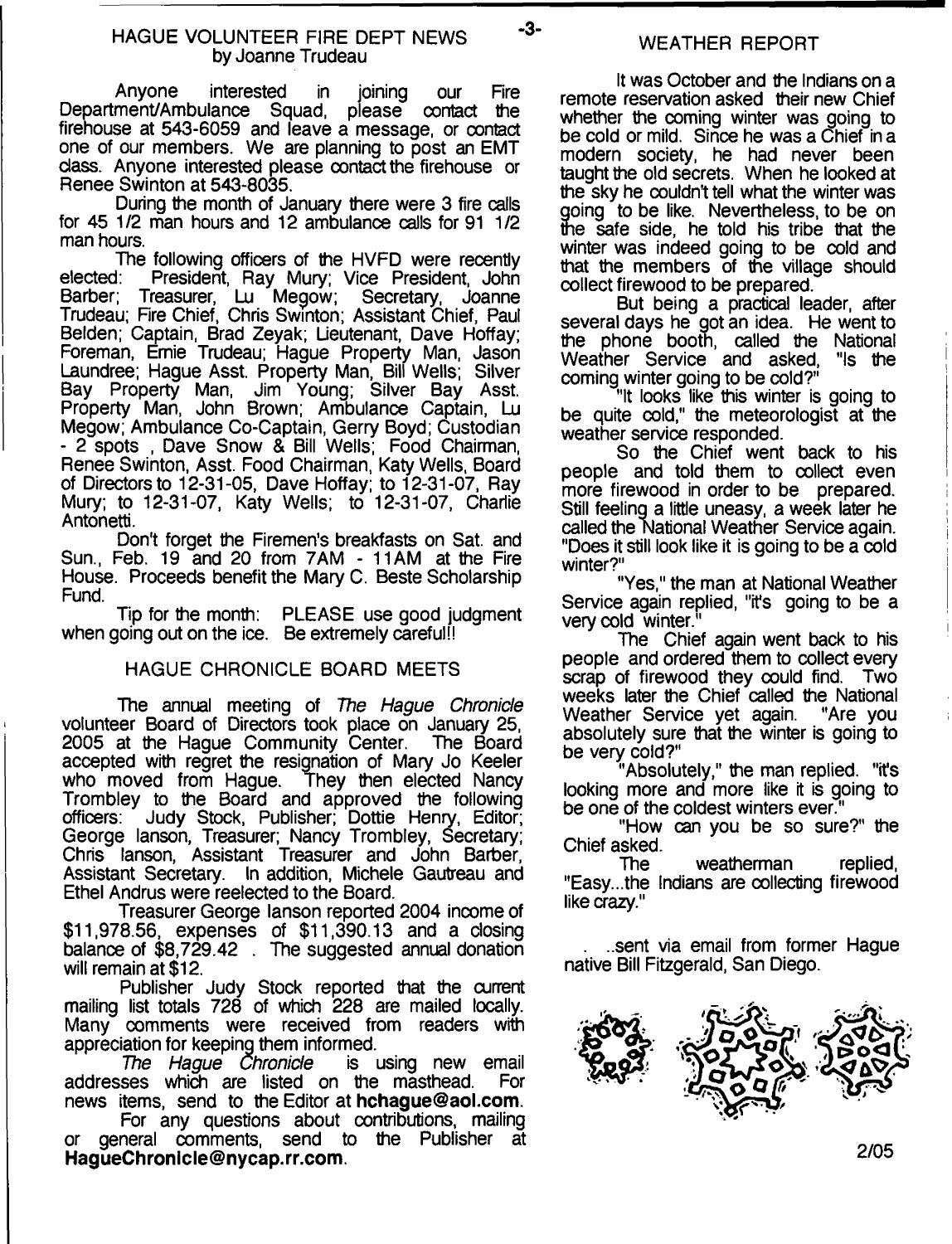Anyone interested in joining our Fire Department/Ambulance Squad, please contact the firehouse at 543-6059 and leave a message, or oontact one of our members. We are planning to post an EMT class. Anyone interested please contact the firehouse or Renee Swinton at 543-8035.

During the month of January there were 3 fire calls for 45 1/2 man hours and 12 ambulance calls for 91 1/2 man hours.

The following officers of the HVFD were recently<br>elected: President. Ray Mury: Vice President. John elected: President, Ray Mury; Vice President, John<br>Barber; Treasurer, Lu Megow: Secretary, Joanne Treasurer, Lu Megow; Secretary, Joanne Trudeau; Fire Chief, Chris Swinton; Assistant Chief, Paul Belden; Captain, Brad Zeyak; Lieutenant, Dave Hoffay; Foreman, Ernie Trudeau; Hague Property Man, Jason Laundree; Hague Asst. Property Man, Bill Wells; Silver Bay Property Man, Jim Young; Silver Bay Asst. Property Man, John Brown; Ambulance Captain, Lu Megow; Ambulance Co-Captain, Gerry Boyd; Custodian - 2 spots , Dave Snow & Bill Wells; Food Chairman, Renee Swinton, Asst. Food Chairman, Katy Wells, Board of Directors to 12-31-05, Dave Hoffay; to 12-31-07, Ray Mury; to 12-31-07, Katy Wells; to 12-31-07, Charlie Antonetti.

Don't forget the Firemen's breakfasts on Sat. and Sun., Feb. 19 and 20 from 7AM - 11AM at the Fire House. Proceeds benefit the Mary C. Beste Scholarship Fund.

Tip for the month: PLEASE use good judgment when going out on the ice. Be extremely careful!

## HAGUE CHRONICLE BOARD MEETS

The annual meeting of *The Hague Chronicle* volunteer Board of Directors took place on January 25, 2005 at the Haque Community Center. accepted with regret the resignation of Mary Jo Keeler who moved from Hague. They then elected Nancy Trombley to the Board and approved the following<br>officers: Judy Stock, Publisher: Dottie Henry, Editor: Judy Stock, Publisher; Dottie Henry, Editor; George lanson, Treasurer; Nancy Trombley, Secretary; Chris lanson, Assistant Treasurer and John Barber, Assistant Secretary. In addition, Michele Gautreau and Ethel Andrus were reelected to the Board.

Treasurer George lanson reported 2004 income of \$11,978.56, expenses of \$11,390.13 and a closing balance of \$8,729.42 . The suggested annual donation will remain at \$12.

Publisher Judy Stock reported that the current mailing list totals 728 of which 228 are mailed locally. Many comments were received from readers with appreciation for keeping them informed.

*The Hague Chronicle* is using new email addresses which are listed on the masthead. news items, send to the Editor at **[hchague@aol.com](mailto:hchague@aol.com).**

For any questions about contributions, mailing or general comments, send to the Publisher at **[HagueChronicle@nycap.rr.com](mailto:HagueChronicle@nycap.rr.com).**

# WEATHER REPORT

 $-3-$ 

It was October and the Indians on a remote reservation asked their new Chief whether the coming winter was going to be cold or mild. Since he was a Chief in a modern society, he had never been taught the old secrets. When he looked at the sky he oouldn't tell what the winter was going to be like. Nevertheless, to be on me safe side, he told his tribe that the winter was indeed going to be cold and that the members of the village should collect firewood to be prepared.

But being a practical leader, after several days he got an idea. He went to the phone booth, called the National Weather Service and asked. "Is the Weather Service and asked, coming winter going to be cold?"

"It looks like this winter is going to be quite cold," the meteorologist at the weather service responded.

So the Chief went back to his people and told them to collect even more firewood in order to be prepared. Still feeling a little uneasy, a week later he called the National Weather Service again. "Does it still look like it is going to be a cold winter?"

"Yes," the man at National Weather Service again replied, "it's going to be a very cold winter.<sup>"</sup>

The Chief again went back to his people and ordered them to collect every scrap of firewood they could find. Two weeks later the Chief called the National Weather Service vet again. "Are you Weather Service yet again. absolutely sure that the winter is going to be very cold?"

"Absolutely," the man replied, "it's looking more and more like it is going to be one of the coldest winters ever."

"How can you be so sure?" the

Chief asked.<br>The weatherman replied, "Easy...the Indians are collecting firewood like crazy."

. ..sent via email from former Hague native Bill Fitzgerald, San Diego.

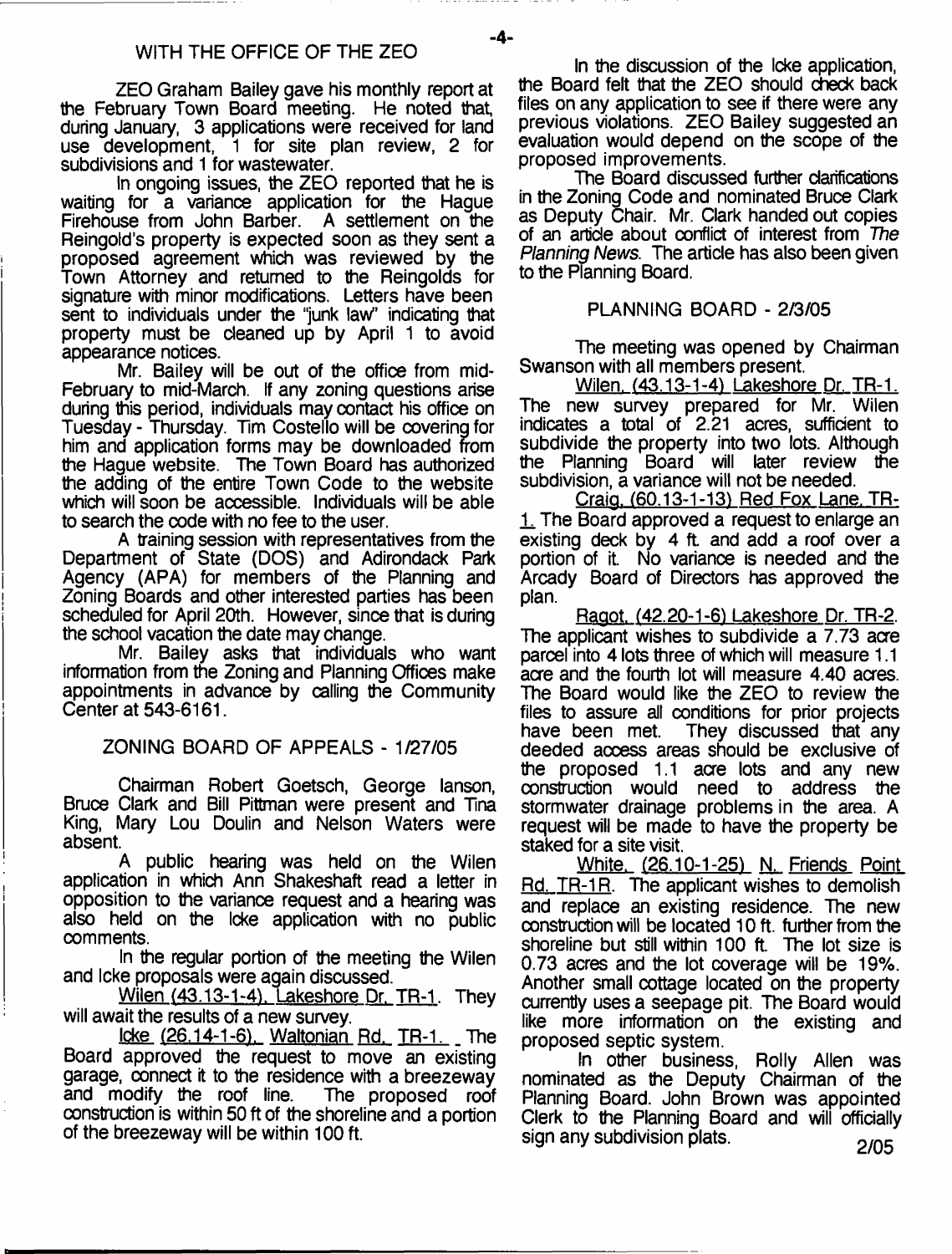ZEO Graham Bailey gave his monthly report at the February Town Board meeting. He noted that during January, 3 applications were received for land use development, 1 for site plan review, 2 for subdivisions and 1 for wastewater.

In ongoing issues, the ZEO reported that he is waiting for a variance application for the Haque Firehouse from John Barber. A settlement on the Reingold's property is expected soon as they sent a proposed agreement which was reviewed by the Town Attorney and returned to the Reingolds for signature with minor modifications. Letters have been sent to individuals under the "junk law" indicating that property must be cleaned up by April 1 to avoid appearance notices.

Mr. Bailey will be out of the office from mid-February to mid-March. If any zoning questions arise during this period, individuals may contact his office on Tuesday - Thursday. Tim Costello will be covering for him and application forms may be downloaded from the Hague website. The Town Board has authorized the adding of the entire Town Code to the website which will soon be accessible. Individuals will be able to search the code with no fee to the user.

A training session with representatives from the Department of State (DOS) and Adirondack Park Agency (APA) for members of the Planning and Zoning Boards and other interested parties has been scheduled for April 20th. However, since that is during the school vacation the date may change.

Mr. Bailey asks that individuals who want information from the Zoning and Planning Offices make appointments in advance by calling the Community Center at 543-6161.

ZONING BOARD OF APPEALS - 1/27/05

Chairman Robert Goetsch, George lanson, Bruce Clark and Bill Pittman were present and Tina King, Mary Lou Doulin and Nelson Waters were absent.

A public hearing was held on the Wilen application in which Ann Shakeshaft read a letter in opposition to the variance request and a hearing was also held on the Icke application with no public comments.

In the regular portion of the meeting the Wilen and Icke proposals were again discussed.

Wilen (43.13-1-4). Lakeshore Dr. TR-1. They will await the results of a new survey.

Icke (26.14-1-6), Waltonian Rd. TR-1. \_ The Board approved the request to move an existing garage, connect it to the residence with a breezeway and modify the roof line. The proposed roof construction is within 50 ft of the shoreline and a portion of the breezeway will be within 100 ft.

In the discussion of the Icke application, the Board felt that the ZEO should check back files on any application to see if there were any previous violations. ZEO Bailey suggested an evaluation would depend on the scope of the proposed improvements.

The Board discussed further clarifications in the Zoning Code and nominated Bruce Clark as Deputy Chair. Mr. Clark handed out copies of an article about conflict of interest from *The Planning News.* The article has also been given to the Planning Board.

#### PUNNING BOARD - 2/3/05

The meeting was opened by Chairman Swanson with all members present.

Wilen. (43.13-1-4) Lakeshore Dr. TR-1. The new survey prepared for Mr. Wilen indicates a total of 2.21 acres, sufficient to subdivide the property into two lots. Although the Planning Board will later review the subdivision, a variance will not be needed.

Craig. (60.13-1-13) Red Fox Lane. TR-1 The Board approved a request to enlarge an existing deck by 4 ft and add a roof over a portion of it. No variance is needed and the Arcady Board of Directors has approved the plan.

Raaot. (42.20-1-6) Lakeshore Dr. TR-2. The applicant wishes to subdivide a 7.73 acre parcel into 4 lots three of which will measure 1.1 acre and the fourth lot will measure 4.40 acres. The Board would like the ZEO to review the files to assure all conditions for prior projects have been met. They discussed that any deeded acoess areas should be exclusive of the proposed 1.1 acre lots and any new construction would need to address the stormwater drainage problems in the area. A request will be made to have the property be staked for a site visit.

White. (26.10-1-25) N. Friends Point Rd. TR-1R. The applicant wishes to demolish and replace an existing residence. The new construction will be located 10 ft. further from the shoreline but still within 100 ft. The lot size is 0.73 acres and the lot coverage will be 19%. Another small cottage located on the property currently uses a seepage pit. The Board would like more information on the existing and proposed septic system.

In other business, Roily Allen was nominated as the Deputy Chairman of the Planning Board. John Brown was appointed Clerk to the Planning Board and will officially sign any subdivision plats. *oldar 2005*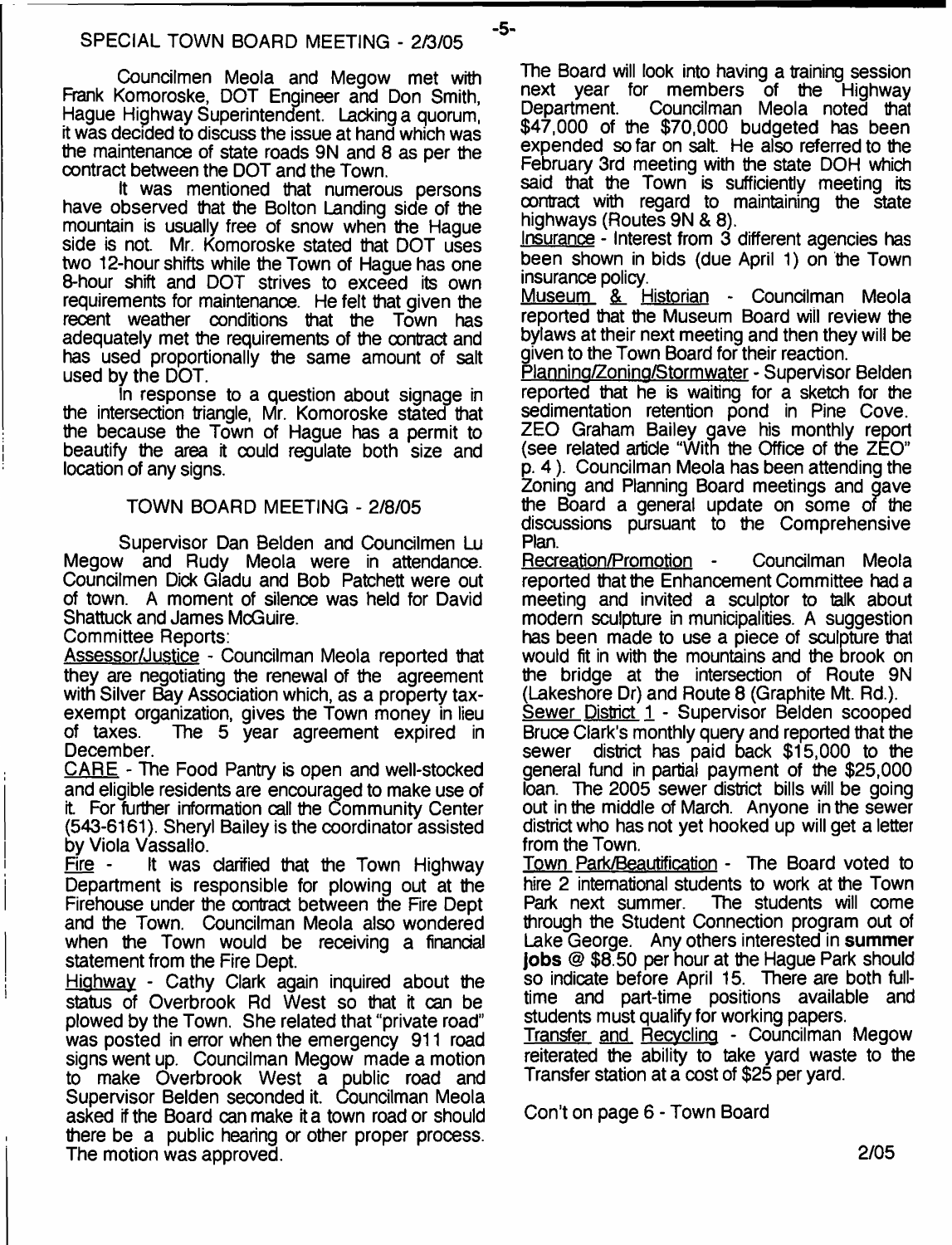$-5-$ 

Councilmen Meola and Megow met with Frank Komoroske, DOT Engineer and Don Smith, Hague Highway Superintendent. Lacking a quorum, it was decided to discuss the issue at hand which was the maintenance of state roads 9N and 8 as per the contract between the DOT and the Town.

It was mentioned that numerous persons have observed that the Bolton Landing side of the mountain is usually free of snow when the Hague side is not. Mr. Komoroske stated that DOT uses two 12-hour shifts while the Town of Hague has one 8-hour shift and DOT strives to exceed its own requirements for maintenance. He felt that given the recent weather conditions that the Town has adequately met the requirements of the contract and has used proportionally the same amount of salt used by the DOT.

In response to a question about signage in the intersection triangle, Mr. Komoroske stated that the because the Town of Hague has a permit to beautify the area it could regulate both size and location of any signs.

#### TOWN BOARD MEETING - 2/8/05

Supervisor Dan Belden and Councilmen Lu Megow and Rudy Meola were in attendance. Councilmen Dick Gladu and Bob Patchett were out of town. A moment of silence was held for David Shattuck and James McGuire.

Committee Reports:

Assessor/Justice - Councilman Meola reported that they are negotiating the renewal of the agreement with Silver Bay Association which, as a property taxexempt organization, gives the Town money in lieu<br>of taxes. The 5 year agreement expired in The 5 year agreement expired in December.

CARE - The Food Pantry is open and well-stocked and eligible residents are encouraged to make use of it For further information call the Community Center (543-6161). Sheryl Bailey is the coordinator assisted by Viola Vassallo.<br>Fire - It was

It was clarified that the Town Highway Department is responsible for plowing out at the Firehouse under the contract between the Fire Dept and the Town. Councilman Meola also wondered when the Town would be receiving a financial statement from the Fire Dept.

Highway - Cathy Clark again inquired about the status of Overbrook Rd West so that it can be plowed by the Town. She related that "private road'' was posted in error when the emergency 911 road signs went up. Councilman Megow made a motion to make Overbrook West a public road and Supervisor Belden seconded it. Councilman Meola asked if the Board can make it a town road or should there be a public hearing or other proper process. The motion was approved.

The Board will look into having a training session next year for members of the Highway Department. Councilman Meola noted that \$47,000 of the \$70,000 budgeted has been expended so far on salt. He also referred to the February 3rd meeting with the state DOH which said that the Town is sufficiently meeting its contract with regard to maintaining the state highways (Routes 9N & 8).

Insurance - Interest from 3 different agencies has been shown in bids (due April 1) on the Town insurance policy.

Museum & Historian - Councilman Meola reported that the Museum Board will review the bylaws at their next meeting and then they will be given to the Town Board for their reaction.

Planning/Zoning/Stormwater - Supervisor Belden reported that he is waiting for a sketch for the sedimentation retention pond in Pine Cove. ZEO Graham Bailey gave his monthly report (see related article "With the Office of the ZEO" p. 4). Councilman Meola has been attending the Zoning and Planning Board meetings and gave the Board a general update on some of the discussions pursuant to the Comprehensive Plan.

Recreation/Promotion - Councilman Meola reported that the Enhancement Committee had a meeting and invited a sculptor to talk about modern sculpture in municipalities. A suggestion has been made to use a piece of sculpture that would fit in with the mountains and the brook on the bridge at the intersection of Route 9N (Lakeshore Dr) and Route 8 (Graphite Mt. Rd.).

Sewer District 1 - Supervisor Belden scooped Bruce Clark's monthly query and reported that the sewer district has paid back \$15,000 to the general fund in partial payment of the \$25,000 loan. The 2005 sewer district bills will be going out in the middle of March. Anyone in the sewer district who has not yet hooked up will get a letter from the Town.

Town Park/Beautification - The Board voted to hire 2 international students to work at the Town<br>Park next summer. The students will come The students will come through the Student Connection program out of Lake George. Any others interested in **summer Jobs** @ \$8.50 per hour at the Hague Park should so indicate before April 15. There are both fulltime and part-time positions available and students must qualify for working papers.

Transfer and Recycling - Councilman Megow reiterated the ability to take yard waste to the Transfer station at a cost of \$25 per yard.

Con't on page 6 - Town Board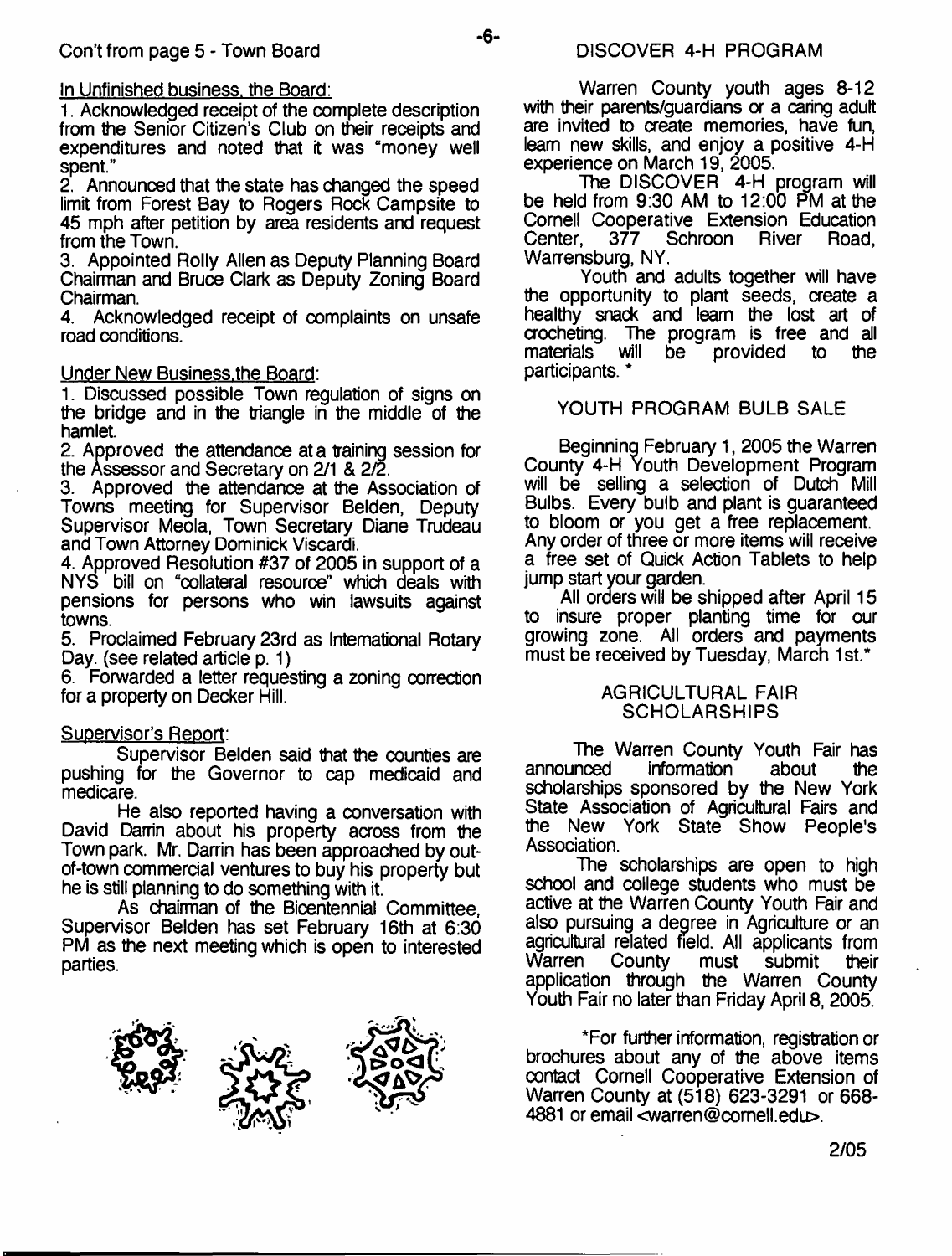## In Unfinished business, the Board:

1. Acknowledged receipt of the complete description from the Senior Citizen's Club on their receipts and expenditures and noted that it was "money well spent."

2. Announced that the state has changed the speed limit from Forest Bay to Rogers Rock Campsite to 45 mph after petition by area residents and request from the Town.

3. Appointed Roily Allen as Deputy Planning Board Chairman and Bruce Clark as Deputy Zoning Board Chairman.

4. Acknowledged receipt of complaints on unsafe road conditions.

## Under New Business.the Board:

1. Discussed possible Town regulation of signs on the bridge and in the triangle in the middle of the hamlet.

2. Approved the attendance at a training session for the Assessor and Secretary on 2/1 & 2/2.

3. Approved the attendance at the Association of Towns meeting for Supervisor Belden, Deputy Supervisor Meola, Town Secretary Diane Trudeau and Town Attorney Dominick Viscardi.

4. Approved Resolution #37 of 2005 in support of a NYS bill on "collateral resource" which deals with pensions for persons who win lawsuits against towns.

5. Proclaimed February 23rd as International Rotary Day. (see related article p. 1)

6. Forwarded a letter requesting a zoning correction for a property on Decker Hill.

#### Supervisor's Report:

Supervisor Belden said that the counties are pushing for the Governor to cap medicaid and medicare.

He also reported having a conversation with David Damin about his property across from the Town park. Mr. Darrin has been approached by outof-town commercial ventures to buy his property but he is still planning to do something with it.

As chairman of the Bicentennial Committee, Supervisor Belden has set February 16th at 6:30 PM as the next meeting which is open to interested parties.



- 6-

Warren County youth ages 8-12 with their parents/guardians or a caring adult are invited to create memories, have fun, leam new skills, and enjoy a positive 4-H experience on March 19, 2005.

The DISCOVER 4-H program will be held from 9:30 AM to 12:00 PM at the Cornell Cooperative Extension Education<br>Center, 377 Schroon River Road, Schroon B Warrensburg, NY.

Youth and adults together will have the opportunity to plant seeds, create a healthy snack and leam the lost art of crocheting. The program is free and all provided participants. \*

## YOUTH PROGRAM BULB SALE

Beginning February 1, 2005 the Warren County 4-H Youth Development Program will be selling a selection of Dutch Mill Bulbs. Every bulb and plant is guaranteed to bloom or you get a free replacement. Any order of three or more items will receive a free set of Quick Action Tablets to help jump start your garden.

All orders will be shipped after April 15 to insure proper planting time for our growing zone. All orders and payments must be received by Tuesday, March 1st.\*

#### AGRICULTURAL FAIR **SCHOLARSHIPS**

The Warren County Youth Fair has<br>announced information about the information<sup>-</sup> scholarships sponsored by the New York State Association of Agricultural Fairs and the New York State Show People's Association.

The scholarships are open to high school and college students who must be active at the Warren County Youth Fair and also pursuing a degree in Agriculture or an agricultural related field. All applicants from County must submit their application through the Warren County Youth Fair no later than Friday April 8, 2005.

\*For further information, registration or brochures about any of the above items contact Cornell Cooperative Extension of Warren County at (518) 623-3291 or 668- 4881 or email [<warren@comell.edu>](mailto:warren@comell.edu).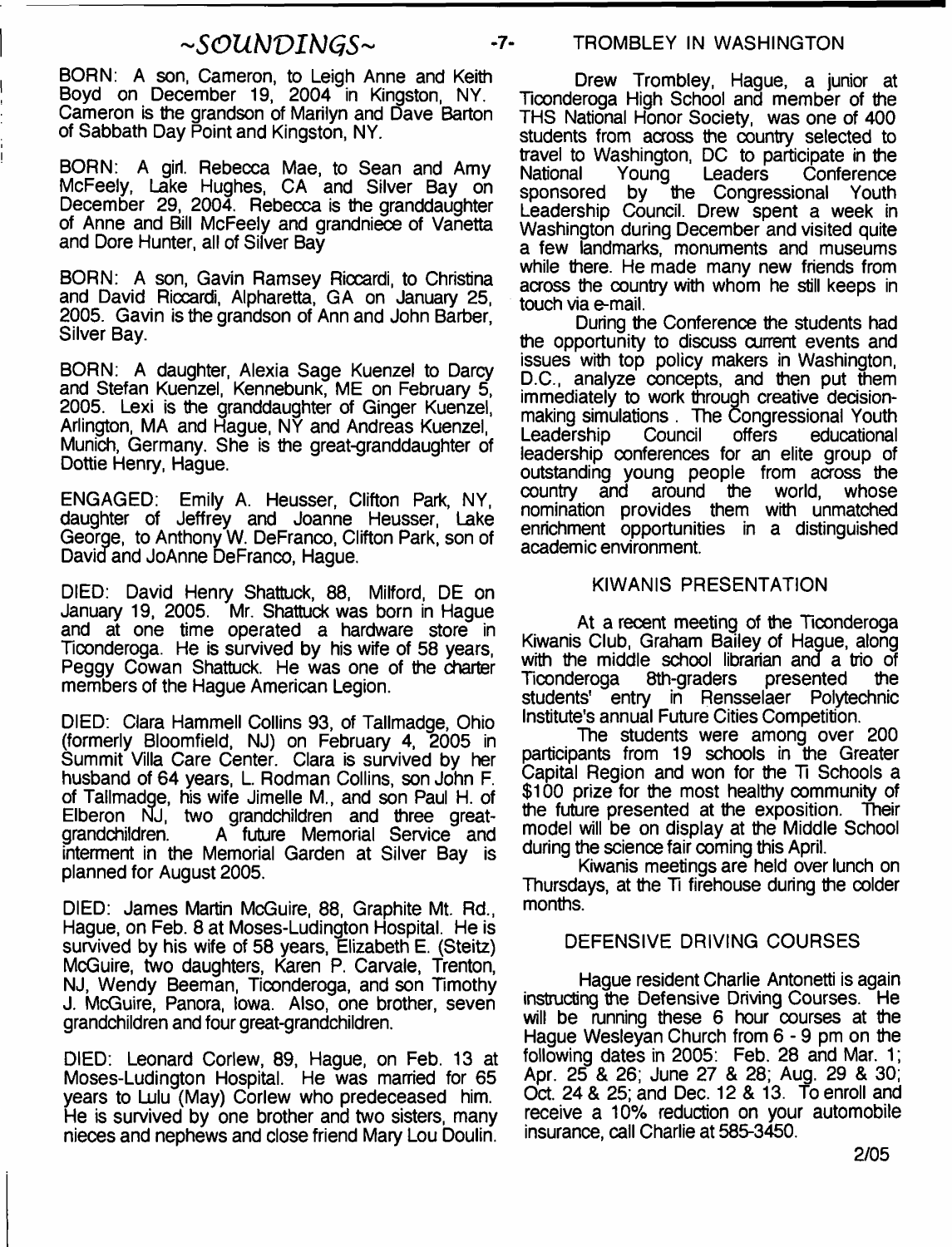# *SOUNDINGS*<sup>~</sup>

BORN: A son, Cameron, to Leigh Anne and Keith Boyd on December 19, 2004 in Kingston, NY. Cameron is the grandson of Marilyn and Dave Barton of Sabbath Day Point and Kingston, NY.

BORN: A girl. Rebecca Mae, to Sean and Amy McFeely, Lake Hughes, CA and Silver Bay on December 29, 2004. Rebecca is the granddaughter of Anne and Bill McFeely and grandniece of Vanetta and Dore Hunter, all of Silver Bay

BORN: A son, Gavin Ramsey Riccardi, to Christina and David Riccardi, Alpharetta, GA on January 25, 2005. Gavin is the grandson of Ann and John Barber, Silver Bay.

BORN: A daughter, Alexia Sage Kuenzel to Darcy and Stefan Kuenzel, Kennebunk, ME on February 5, 2005. Lexi is the granddaughter of Ginger Kuenzel, Arlington, MA and Hague, NY and Andreas Kuenzel, Munich, Germany. She is the great-granddaughter of Dottie Henry, Hague.

ENGAGED: Emily A. Heusser, Clifton Park, NY, daughter of Jeffrey and Joanne Heusser, Lake George, to Anthony W. DeFranco, Clifton Park, son of David and JoAnne DeFranco, Hague.

DIED: David Henry Shattuck, 88, Milford, DE on January 19, 2005. Mr. Shattuck was born in Hague and at one time operated a hardware store in Ticonderoga. He is survived by his wife of 58 years, Peggy Cowan Shattuck. He was one of the charter members of the Hague American Legion.

DIED: Clara Hammell Collins 93, of Tallmadge, Ohio (formerly Bloomfield, NJ) on February 4, 2005 in Summit Villa Care Center. Clara is survived by her husband of 64 years, L. Rodman Collins, son John F. of Tallmadge, his wife Jimelle M., and son Paul H. of Elberon NJ, two grandchildren and three greatgrandchildren. A future Memorial Service and interment in the Memorial Garden at Silver Bay is planned for August 2005.

DIED: James Martin McGuire, 88, Graphite Mt. Rd., Hague, on Feb. 8 at Moses-Ludington Hospital. He is survived by his wife of 58 years, Elizabeth E. (Steitz) McGuire, two daughters, Karen P. Carvale, Trenton, NJ, Wendy Beeman, Ticonderoga, and son Timothy J. McGuire, Panora, Iowa. Also, one brother, seven grandchildren and four great-grandchildren.

DIED: Leonard Corlew, 89, Hague, on Feb. 13 at Moses-Ludington Hospital. He was married for 65 years to Lulu (May) Corlew who predeceased him. He is survived by one brother and two sisters, many nieces and nephews and close friend Mary Lou Doulin.

## -7- TROMBLEY IN WASHINGTON

Drew Trombley, Hague, a junior at Ticonderoga High School and member of the THS National Honor Society, was one of 400 students from across the country selected to travel to Washington, DC to participate in the National Young Leaders Conference sponsored by the Congressional Youth Leadership Council. Drew spent a week in Washington during December and visited quite a few landmarks, monuments and museums while there. He made many new friends from across the country with whom he still keeps in touch via e-mail.

During the Conference the students had the opportunity to discuss current events and issues with top policy makers in Washington, D.C., analyze concepts, and then put them immediately to work through creative decisionmaking simulations . The Congressional Youth<br>Leadership Council offers educational Leadership Council offers educational leadership conferences for an elite group of outstanding young people from across the country and around the world, whose nomination provides them with unmatched enrichment opportunities in a distinguished academic environment.

#### KIWANIS PRESENTATION

At a recent meeting of the Ticonderoga Kiwanis Club, Graham Bailey of Hague, along with the middle school librarian and a trio of Ticonderoga 8th-graders presented the students' entry in Rensselaer Polytechnic Institute's annual Future Cities Competition.

The students were among over 200 participants from 19 schools in the Greater Capital Region and won for the 71 Schools a \$100 prize for the most healthy community of the future presented at the exposition. Their model will be on display at the Middle School during the science fair coming this April.

Kiwanis meetings are held over lunch on Thursdays, at the Ti firehouse during the colder months.

## DEFENSIVE DRIVING COURSES

Hague resident Charlie Antonetti is again instructing the Defensive Driving Courses. He will be running these 6 hour courses at the Hague Wesleyan Church from 6 - 9 pm on the following dates in 2005: Feb. 28 and Mar. 1; Apr. 25 & 26; June 27 & 28; Aug. 29 & 30; Oct. 24 & 25; and Dec. 12 & 13. To enroll and receive a 10% reduction on your automobile insurance, call Charlie at 585-3450.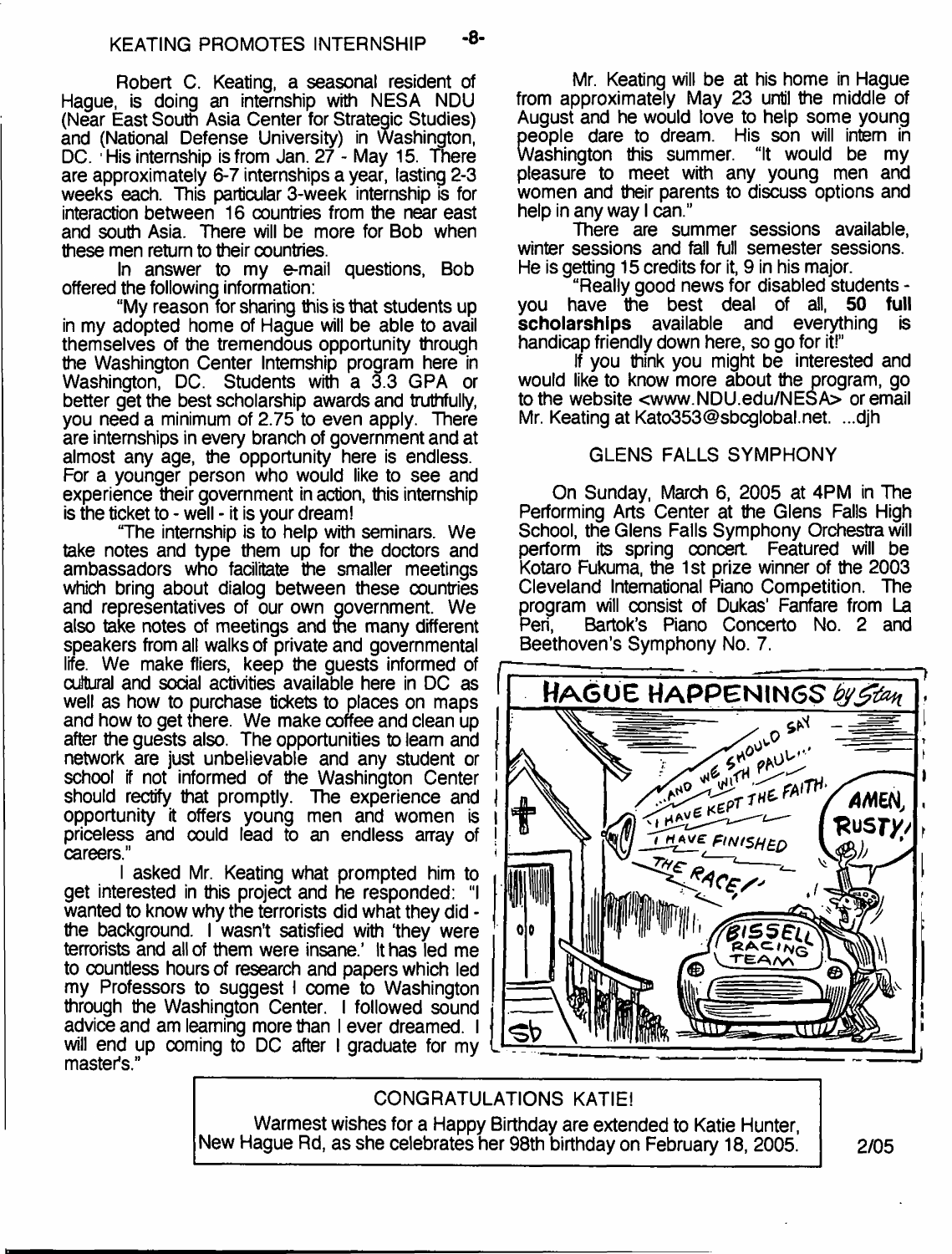Robert C. Keating, a seasonal resident of Hague, is doing an internship with NESA NDU (Near East South Asia Center for Strategic Studies) and (National Defense University) in Washington, DC. His internship is from Jan. 27 - May 15. There are approximately 6-7 internships a year, lasting 2-3 weeks each. This particular 3-week internship is for interaction between 16 countries from the near east and south Asia. There will be more for Bob when these men return to their countries.

In answer to my e-mail questions, Bob offered the following information:

"My reason for sharing this is that students up in my adopted home of Hague will be able to avail themselves of the tremendous opportunity through the Washington Center Internship program here in Washington, DC. Students with a 3.3 GPA or better get the best scholarship awards and truthfully, you need a minimum of 2.75 to even apply. There are internships in every branch of government and at almost any age, the opportunity here is endless. For a younger person who would like to see and experience their government in action, this internship is the ticket to - well - it is your dream!

"The internship is to help with seminars. We take notes and type them up for the doctors and ambassadors who facilitate the smaller meetings which bring about dialog between these countries and representatives of our own government. We also take notes of meetings and the many different speakers from all walks of private and governmental life. We make fliers, keep the guests informed of cultural and social activities available here in DC as well as how to purchase tickets to places on maps and how to get there. We make coffee and clean up after the guests also. The opportunities to leam and network are just unbelievable and any student or school if not informed of the Washington Center should rectify that promptly. The experience and opportunity it offers young men and women is priceless and oould lead to an endless array of careers."

I asked Mr. Keating what prompted him to get interested in this project and he responded: "I wanted to know why the terrorists did what they did the background. I wasn't satisfied with 'they were terrorists and all of them were insane.' It has led me to countless hours of research and papers which led my Professors to suggest I come to Washington through the Washington Center. I followed sound advice and am learning more than I ever dreamed. I will end up coming to DC after I graduate for my master's."

Mr. Keating will be at his home in Hague from approximately May 23 until the middle of August and he would love to help some young people dare to dream. His son will intern in<br>Washington this summer. "It would be my Washington this summer. pleasure to meet with any young men and women and their parents to discuss options and help in any way I can."

There are summer sessions available, winter sessions and fall full semester sessions. He is getting 15 credits for it, 9 in his major.

"Really good news for disabled students you have the best deal of all, **50 full scholarships** available and everything is handicap friendly down here, so go for it!"

if you think you might be interested and would like to know more about the program, go to the website [<www.NDU.edu/NESA>](http://www.NDU.edu/NESA) or email Mr. Keating at [Kato353@sbcglobal.net.](mailto:Kato353@sbcglobal.net) ...djh

## GLENS FALLS SYMPHONY

On Sunday, March 6, 2005 at 4PM in The Performing Arts Center at the Glens Falls High School, the Glens Falls Symphony Orchestra will perform its spring concert Featured will be Kotaro Fukuma, the 1 st prize winner of the 2003 Cleveland International Piano Competition. The program will consist of Dukas' Fanfare from La<br>Peri. Bartok's Piano Concerto No. 2 and Bartok's Piano Concerto No. 2 and Beethoven's Symphony No. 7.



#### CONGRATULATIONS KATIE!

Warmest wishes for a Happy Birthday are extended to Katie Hunter, New Hague Rd, as she celebrates her 98th birthday on February 18, 2005. 2005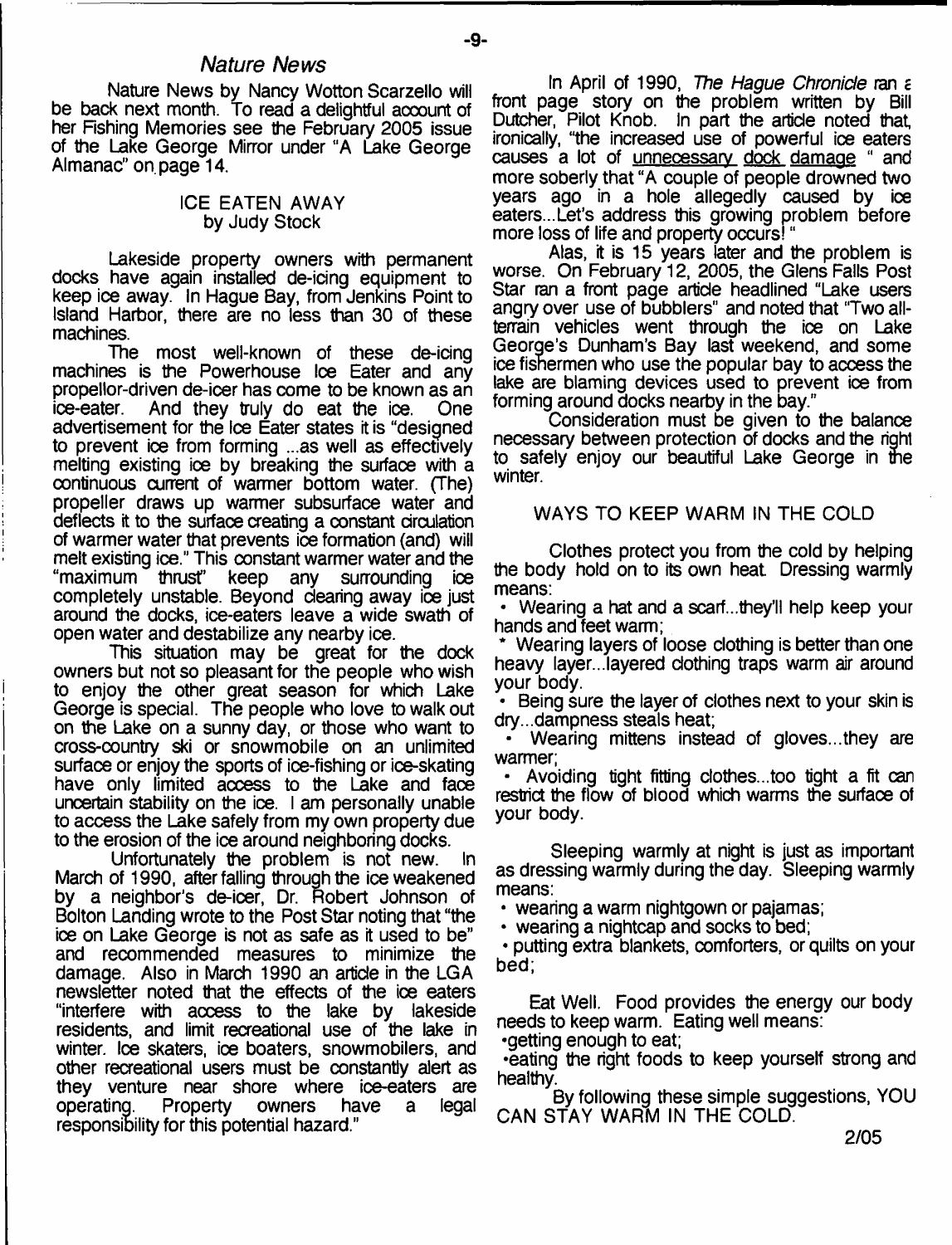## *Nature News*

Nature News by Nancy Wotton Scarzello will be back next month. To read a delightful account of her Fishing Memories see the February 2005 issue of the Lake George Mirror under "A Lake George Almanac" on page 14.

#### ICE EATEN AWAY by Judy Stock

Lakeside property owners with permanent docks have again installed de-icing equipment to keep ice away. In Hague Bay, from Jenkins Point to Island Harbor, there are no less than 30 of these machines.

The most well-known of these de-icing machines is the Powerhouse Ice Eater and any propellor-driven de-icer has come to be known as an And they truly do eat the ice. One advertisement for the Ice Eater states it is "designed to prevent ice from forming ...as well as effectively melting existing ice by breaking the surface with a continuous current of warmer bottom water. (The) propeller draws up warmer subsurface water and deflects it to the surface creating a constant circulation of warmer water that prevents ice formation (and) will melt existing ice." This constant warmer water and the "maximum" thrust" keep any surrounding to "maximum thrust" keep any surrounding completely unstable. Beyond clearing away ice just around the docks, ice-eaters leave a wide swath of open water and destabilize any nearby ice.

This situation may be great for the dock owners but not so pleasant for the people who wish to enjoy the other great season for which Lake George is special. The people who love to walk out on the Lake on a sunny day, or those who want to cross-country ski or snowmobile on an unlimited surface or enjoy the sports of ice-fishing or ice-skating have only limited access to the Lake and face uncertain stability on the ice. I am personally unable to access the Lake safely from my own property due to the erosion of the ice around neighboring docks.

Unfortunately the problem is not new. March of 1990, after falling through the ice weakened by a neighbor's de-icer, Dr. Robert Johnson of Bolton Landing wrote to the Post Star noting that "the ice on Lake George is not as safe as it used to be" and recommended measures to minimize the damage. Also in March 1990 an article in the LG A newsletter noted that the effects of the ice eaters "interfere with access to the lake by lakeside residents, and limit recreational use of the lake in winter. Ice skaters, ice boaters, snowmobilers, and other recreational users must be constantly alert as they venture near shore where ice-eaters are operating. Property owners have a legal responsibility for this potential hazard."

In April of 1990, *The Hague Chronicle* ran £ front page story on the problem written by Bill Dutcher, Pilot Knob. In part the article noted that, ironically, "the increased use of powerful ice eaters causes a lot of unnecessary dock damage " and more soberly that "A couple of people drowned two years ago in a hole allegedly caused by ice eaters...Let's address this growing problem before more loss of life and property occurs! "

Alas, it is 15 years later and the problem is worse. On February 12, 2005, the Glens Falls Post Star ran a front page article headlined "Lake users angry over use of bubblers" and noted that "Two allterrain vehicles went through the ice on Lake George's Dunham's Bay last weekend, and some ice fishermen who use the popular bay to access the lake are blaming devices used to prevent ice from forming around docks nearby in the bay."

Consideration must be given to the balance necessary between protection of docks and the right to safely enjoy our beautiful Lake George in the winter.

#### WAYS TO KEEP WARM IN THE COLD

Clothes protect you from the cold by helping the body hold on to its own heat Dressing warmly means:

• Wearing a hat and a scarf...they'll help keep your hands and feet warm;

• Wearing layers of loose clothing is better than one heavy layer...layered clothing traps warm air around your body.

• Being sure the layer of clothes next to your skin is dry...dampness steals heat;

• Wearing mittens instead of gloves...they are warmer;

• Avoiding tight fitting clothes...too tight a fit can restrict the flow of blood which warms the surfaoe of your body.

Sleeping warmly at night is just as important as dressing warmly during the day. Sleeping warmly means:

• wearing a warm nightgown or pajamas;

• wearing a nightcap and socks to bed;

• putting extra blankets, comforters, or quilts on your bed;

Eat Well. Food provides the energy our body needs to keep warm. Eating well means:

•getting enough to eat;

•eating the right foods to keep yourself strong and healthy.

By following these simple suggestions, YOU CAN STAY WARM IN THE COLD.